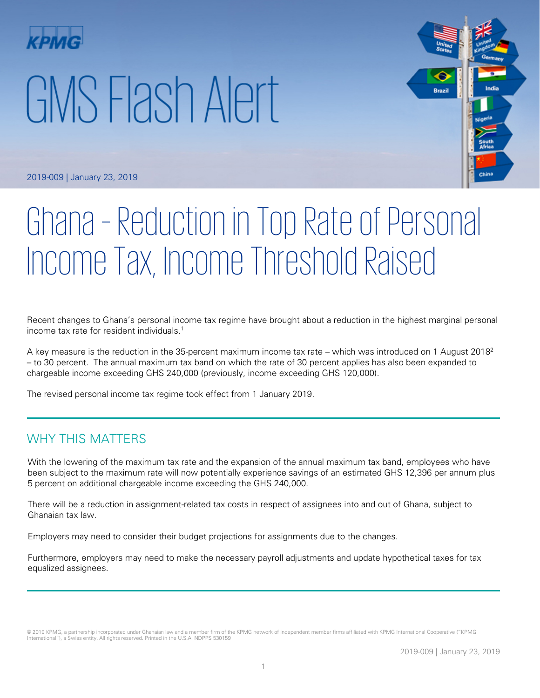# GMS Flash Alert



2019-009 | January 23, 2019

# Ghana – Reduction in Top Rate of Personal Income Tax, Income Threshold Raised

Recent changes to Ghana's personal income tax regime have brought about a reduction in the highest marginal personal income tax rate for resident individuals. 1

A key measure is the reduction in the 35-percent maximum income tax rate – which was introduced on 1 August 2018<sup>2</sup> – to 30 percent. The annual maximum tax band on which the rate of 30 percent applies has also been expanded to chargeable income exceeding GHS 240,000 (previously, income exceeding GHS 120,000).

The revised personal income tax regime took effect from 1 January 2019.

#### WHY THIS MATTERS

With the lowering of the maximum tax rate and the expansion of the annual maximum tax band, employees who have been subject to the maximum rate will now potentially experience savings of an estimated GHS 12,396 per annum plus 5 percent on additional chargeable income exceeding the GHS 240,000.

There will be a reduction in assignment-related tax costs in respect of assignees into and out of Ghana, subject to Ghanaian tax law.

Employers may need to consider their budget projections for assignments due to the changes.

Furthermore, employers may need to make the necessary payroll adjustments and update hypothetical taxes for tax equalized assignees.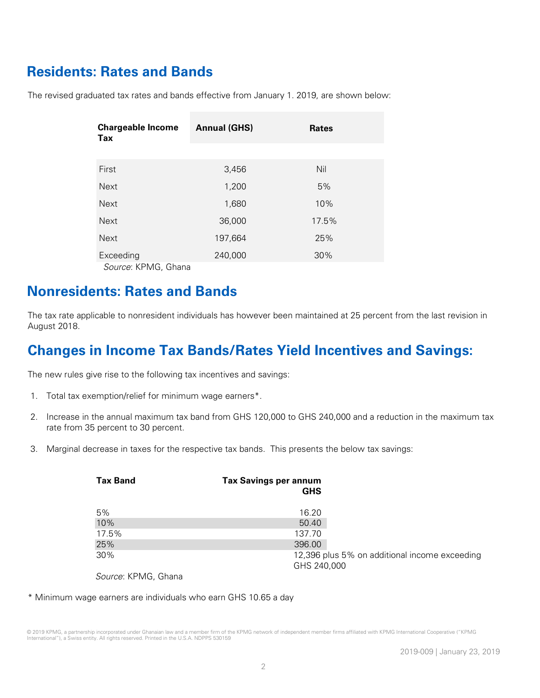# **Residents: Rates and Bands**

The revised graduated tax rates and bands effective from January 1. 2019, are shown below:

| <b>Chargeable Income</b><br>Tax | <b>Annual (GHS)</b> | <b>Rates</b> |
|---------------------------------|---------------------|--------------|
|                                 |                     |              |
| First                           | 3,456               | Nil          |
| <b>Next</b>                     | 1,200               | 5%           |
| <b>Next</b>                     | 1,680               | 10%          |
| <b>Next</b>                     | 36,000              | 17.5%        |
| <b>Next</b>                     | 197,664             | 25%          |
| Exceeding                       | 240,000             | 30%          |
| Source: KPMG, Ghana             |                     |              |

### **Nonresidents: Rates and Bands**

The tax rate applicable to nonresident individuals has however been maintained at 25 percent from the last revision in August 2018.

## **Changes in Income Tax Bands/Rates Yield Incentives and Savings:**

The new rules give rise to the following tax incentives and savings:

- 1. Total tax exemption/relief for minimum wage earners\*.
- 2. Increase in the annual maximum tax band from GHS 120,000 to GHS 240,000 and a reduction in the maximum tax rate from 35 percent to 30 percent.
- 3. Marginal decrease in taxes for the respective tax bands. This presents the below tax savings:

| <b>Tax Band</b> | <b>Tax Savings per annum</b><br><b>GHS</b> |                                               |
|-----------------|--------------------------------------------|-----------------------------------------------|
| 5%              | 16.20                                      |                                               |
| 10%             | 50.40                                      |                                               |
| 17.5%           | 137.70                                     |                                               |
| 25%             | 396.00                                     |                                               |
| 30%             | GHS 240,000                                | 12,396 plus 5% on additional income exceeding |
| $\cdots$        |                                            |                                               |

Source: KPMG, Ghana

\* Minimum wage earners are individuals who earn GHS 10.65 a day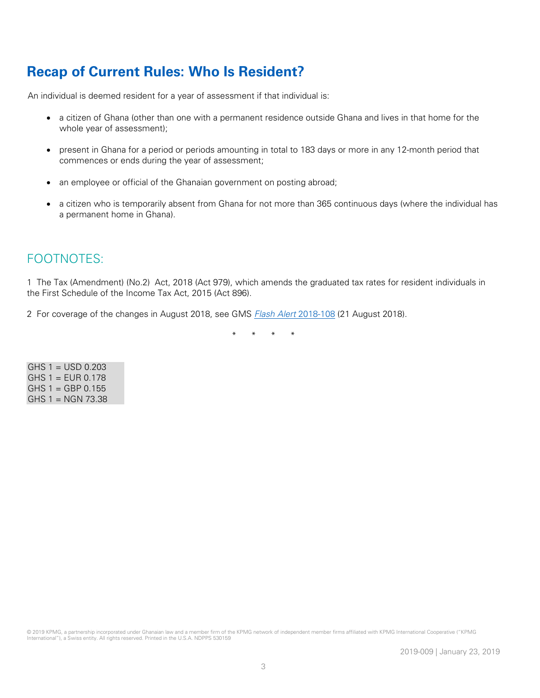# **Recap of Current Rules: Who Is Resident?**

An individual is deemed resident for a year of assessment if that individual is:

- a citizen of Ghana (other than one with a permanent residence outside Ghana and lives in that home for the whole year of assessment);
- present in Ghana for a period or periods amounting in total to 183 days or more in any 12-month period that commences or ends during the year of assessment;
- an employee or official of the Ghanaian government on posting abroad;
- a citizen who is temporarily absent from Ghana for not more than 365 continuous days (where the individual has a permanent home in Ghana).

### FOOTNOTES:

1 The Tax (Amendment) (No.2) Act, 2018 (Act 979), which amends the graduated tax rates for resident individuals in the First Schedule of the Income Tax Act, 2015 (Act 896).

2 For coverage of the changes in August 2018, see GMS *[Flash Alert](https://home.kpmg/xx/en/home/insights/2018/08/flash-alert-2018-108.html)* 2018-108 (21 August 2018).

\* \* \* \*

| $GHS 1 = USD 0.203$ |  |
|---------------------|--|
| $GHS 1 = EUR 0.178$ |  |
| $GHS 1 = GBP 0.155$ |  |
| $GHS 1 = NGN 73.38$ |  |

© 2019 KPMG, a partnership incorporated under Ghanaian law and a member firm of the KPMG network of independent member firms affiliated with KPMG International Cooperative ("KPMG International"), a Swiss entity. All rights reserved. Printed in the U.S.A. NDPPS 530159